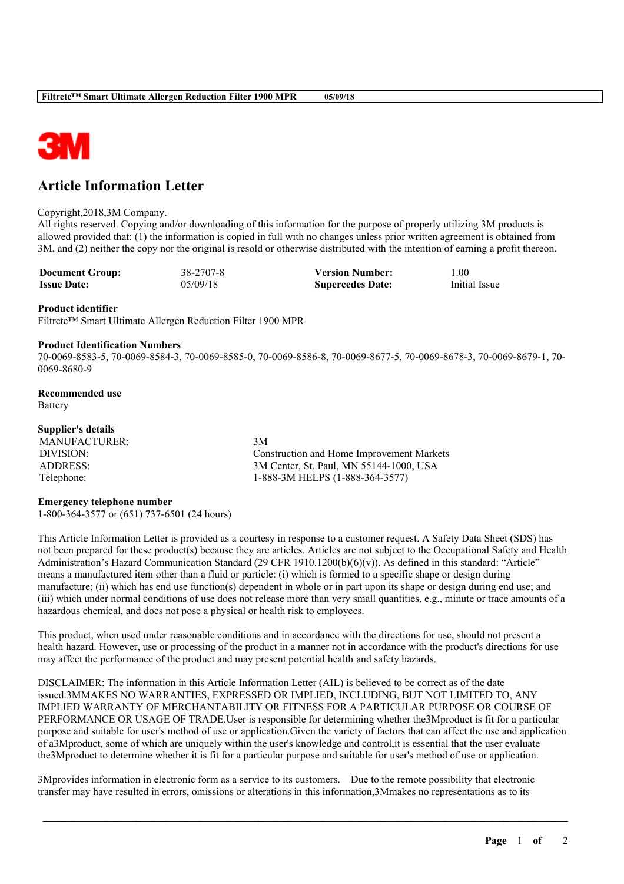

# **Article Information Letter**

# Copyright,2018,3M Company.

All rights reserved. Copying and/or downloading of this information for the purpose of properly utilizing 3M products is allowed provided that: (1) the information is copied in full with no changes unless prior written agreement is obtained from 3M, and (2) neither the copy nor the original is resold or otherwise distributed with the intention of earning a profit thereon.

| <b>Document Group:</b> | 38-2707-8 | <b>Version Number:</b>  | .00.          |
|------------------------|-----------|-------------------------|---------------|
| <b>Issue Date:</b>     | 05/09/18  | <b>Supercedes Date:</b> | Initial Issue |

#### **Product identifier**

Filtrete™ Smart Ultimate Allergen Reduction Filter 1900 MPR

#### **Product Identification Numbers**

70-0069-8583-5, 70-0069-8584-3, 70-0069-8585-0, 70-0069-8586-8, 70-0069-8677-5, 70-0069-8678-3, 70-0069-8679-1, 70- 0069-8680-9

**Recommended use** Battery

# **Supplier's details**

MANUFACTURER: 3M

DIVISION: Construction and Home Improvement Markets ADDRESS: 3M Center, St. Paul, MN 55144-1000, USA Telephone: 1-888-3M HELPS (1-888-364-3577)

# **Emergency telephone number**

1-800-364-3577 or (651) 737-6501 (24 hours)

This Article Information Letter is provided as a courtesy in response to a customer request. A Safety Data Sheet (SDS) has not been prepared for these product(s) because they are articles. Articles are not subject to the Occupational Safety and Health Administration's Hazard Communication Standard (29 CFR 1910.1200(b)(6)(v)). As defined in this standard: "Article" means a manufactured item other than a fluid or particle: (i) which is formed to a specific shape or design during manufacture; (ii) which has end use function(s) dependent in whole or in part upon its shape or design during end use; and (iii) which under normal conditions of use does not release more than very small quantities, e.g., minute or trace amounts of a hazardous chemical, and does not pose a physical or health risk to employees.

This product, when used under reasonable conditions and in accordance with the directions for use, should not present a health hazard. However, use or processing of the product in a manner not in accordance with the product's directions for use may affect the performance of the product and may present potential health and safety hazards.

DISCLAIMER: The information in this Article Information Letter (AIL) is believed to be correct as of the date issued.3MMAKES NO WARRANTIES, EXPRESSED OR IMPLIED, INCLUDING, BUT NOT LIMITED TO, ANY IMPLIED WARRANTY OF MERCHANTABILITY OR FITNESS FOR A PARTICULAR PURPOSE OR COURSE OF PERFORMANCE OR USAGE OF TRADE.User is responsible for determining whether the3Mproduct is fit for a particular purpose and suitable for user's method of use or application.Given the variety of factors that can affect the use and application of a3Mproduct, some of which are uniquely within the user's knowledge and control,it is essential that the user evaluate the3Mproduct to determine whether it is fit for a particular purpose and suitable for user's method of use or application.

\_\_\_\_\_\_\_\_\_\_\_\_\_\_\_\_\_\_\_\_\_\_\_\_\_\_\_\_\_\_\_\_\_\_\_\_\_\_\_\_\_\_\_\_\_\_\_\_\_\_\_\_\_\_\_\_\_\_\_\_\_\_\_\_\_\_\_\_\_\_\_\_\_\_\_\_\_\_\_\_\_\_\_\_\_\_\_\_\_\_

3Mprovides information in electronic form as a service to its customers. Due to the remote possibility that electronic transfer may have resulted in errors, omissions or alterations in this information,3Mmakes no representations as to its